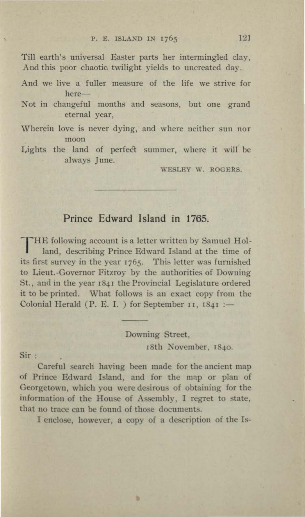## P. E. ISLAND IN 1765 121

Till earth's universal Easter parts her intermingled clay, And this poor chaotic twilight yields to uncreated day.

- And we live a fuller measure of the life we strive for here-
- Not in changeful months and seasons, but one grand eternal year,
- Wherein love is never dying, and where neither sun nor moon

Lights the land of perfect summer, where it will be always June.

WESLEY W. ROGERS.

# **Prince Edward Island in 1765.**

**THE following account is a letter written by Samuel Hol**land, describing Prince Edward Island at the time of its first survey in the year 1765. This letter was furnished to Lieut.-Governor Fitzroy by the authorities of Downing St., and in the year 1841 the Provincial Legislature ordered it to be printed. What follows is an exact copy from the Colonial Herald (P. E. I. ) for September 11,  $1841$  :-

> Downing Street, 18th November, 1840.

Sir:

Careful search having been made for the ancient map of Prince Edward Island, and for the map or plan of Georgetown, which you were desirous of obtaining for the information of the House of Assembly, I regret to state, that no trace can be found of those documents.

I enclose, however, a copy of a description of the Is-

u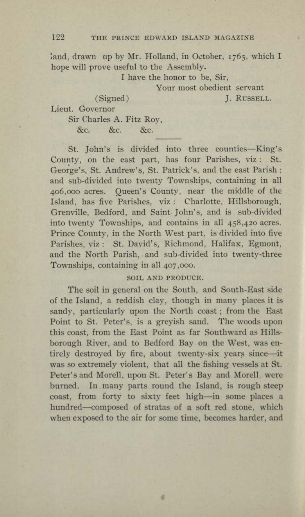## 122 THE PRINCE EDWARD ISLAND MAGAZINE

 $i$ and, drawn up by Mr. Holland, in October, 1765, which I hope will prove useful to the Assembly.

I have the honor to be, Sir,

Your most obedient servant

(Signed) J. RUSSELL.

Lieut. Governor

Sir Charles A. Fitz Roy,

&c. &c. &c.

St. John's is divided into three counties-King's County, on the east part, has four Parishes, viz : St. George's, St. Andrew's, St. Patrick's, and the east Parish; and sub-divided into twenty Townships, containing in all 406,000 acres. Queen's County, near the middle of the Island, has five Parishes, viz : Charlotte, Hillsborough, Grenville, Bedford, and Saint John's, and is sub-divided into twenty Townships, and contains in all 458,420 acres. Prince County, in the North West part, is divided into five Parishes, viz : St. David's, Richmond, Halifax, Egmont, and the North Parish, and sub-divided into twenty-three Townships, containing in all 407 ,ooo.

### SOIL AND PRODUCE.

The soil in general on the South, and South-East side of the Island, a reddish clay, though in many places it is sandy, particularly upon the North coast; from the East Point to St. Peter's, is a greyish sand. The woods upon this coast, from the East Point as far Southward as Hillsborough River, and to Bedford Bay on the West, was entirely destroyed by fire, about twenty-six years since-it was so extremely violent, that all the fishing vessels at **St.**  Peter's and Morell, upon St. Peter's Bay and Morell, were burned. In many parts round the Island, is rough steep coast, from forty to sixty feet high-in some places a hundred-composed of stratas of a soft red stone, which when exposed to the air for some time, becomes harder, and

a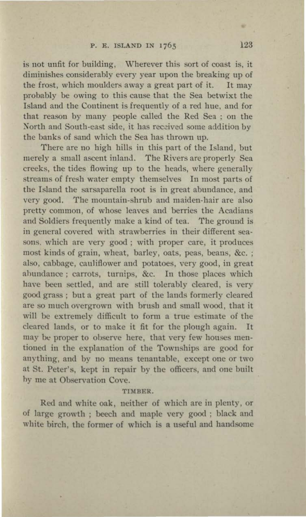is not unfit for building, Wherever this sort of coast is, it diminishes considerably every year upon the breaking up of the frost, which moulders away a great part of it. It may probably be owing to this cause that the Sea betwixt the Island and the Continent is frequently of a red hue, and for that reason by many people called the Red Sea ; on the North and South-east side, it has received some addition by the banks of sand which the Sea has thrown up.

There are no high hills in this part of the Island, but merely a small ascent inland. The Rivers are properly Sea creeks, the tides flowing up to the heads, where generally streams of fresh water empty themselves In most parts of the Island the sarsaparella root is in great abundance, and very good. The mountain-shrub and maiden-hair are also pretty common, of whose leaves and berries the Acadians and Soldiers frequently make a kind of tea. The ground is in general covered with strawberries in their different seasons. which are very good; with proper care, it produces most kinds of grain, wheat, barley, oats, peas, beans, &c. ; also, cabbage, cauliflower and potatoes, very good, in great ahundance ; carrots, turnips, &c. In those places which have been settled, and are still tolerably cleared, is very good grass ; but a great part of the lands formerly cleared are so much overgrown with brush and small wood, that it will be extremely difficnlt to form a true estimate of the cleared lands, or to make it fit for the plough again. It may be proper to observe here, that very few houses mentioned in the explanation of the Townships are good for anything, and by no means tenantable, except one or two at St. Peter's, kept in repair by the officers, and one built hy me at Observation Cove.

#### TIMBER.

Red and white oak, neither of which are in plenty, or of large growth ; beech and maple very good ; black and white birch, the former of which is a useful and handsome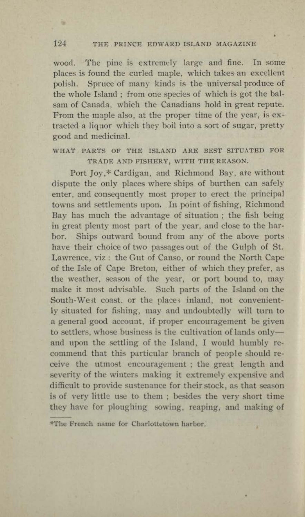## 124 THE PRINCE EDWARD ISLAND MAGAZINE

**R** 

wood. The pine is extremely large and fine. In some places is found the curled maple, which takes an excellent polish. Spruce of many kinds is the universal produce of the whole Island ; from one species of which is got the balsam of Canada, which the Canadians hold in great repute. From the maple also, at the proper time of the year, is extracted a liquor which they boil into a sort of sugar, pretty good and medicinal.

# WHAT PARTS OF THE ISLAND ARE BEST SITUATED FOR TRADE AND FISHERY, WITH THE REASON.

Port Joy,\* Cardigan, and Richmond Bay, ate without dispute the only places where ships of burthen can safely enter, and consequently most proper to erect the principal towns and settlements upon. In point of fishing, Richmond Bay has much the advantage of situation ; the fish being in great plenty most part of the year, and close to the harbor. Ships outward bound from any of the above ports have their choice of two passages out of the Gulph of St. Lawrence, viz: the Gut of Canso, or round the North Cape of the Isle of Cape Breton, either of which they prefer, as the weather, season of the year, or port bound to, may make it most advisable. Such parts of the Island on the South-West coast, or the places inland, not conveniently situated for fishing, may and undoubtedly will turn to a general good account, if proper encouragement be given to settlers, whose business is the cultivation of lands onlyand upon the settling of the Island, I would humbly recommend that this particular branch of people should receive the utmost encouragement ; the great length and severity of the winters making it extremely expensive and difficult to provide sustenance for their stock, as that season is of very little use to them ; besides the very short time they have for ploughing sowing, reaping, and making of

<sup>\*</sup>The French name for Charlottetown harbor.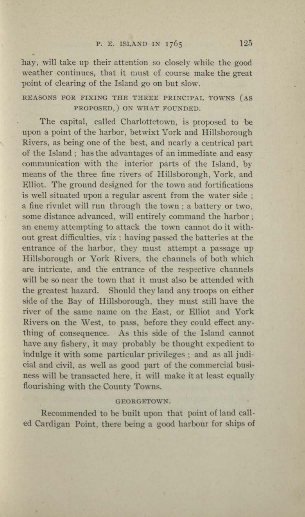hay, will take up their attention so closely while the good weather continues, that it must of course make the great point of clearing of the Island go on but slow.

# REASONS FOR FIXING THE THREE PRINCIPAL TOWNS (AS PROPOSED, ) ON WHAT FOUNDED.

The capital, called Charlottetown, is proposed to be upon a point of the harbor, betwixt York and Hillsborough Rivers, as being one of the best, and nearly a centrical part of the Island; has the advantages of an immediate and easy communication with the interior parts of the Island, by means of the three fine rivers of Hillsborough, York, and Elliot. The ground designed for the town and fortifications is well situated upon a regular ascent from the water side ; a fine rivulet will run through the town ; a battery or two, some distance advanced, will entirely command the harbor; an enemy attempting to attack the town cannot do it without great difficulties, viz : having passed the batteries at the entrance of the harbor, they must attempt a passage up Hillsborough or York Rivers, the channels of both which are intricate, and the entrance of the respective channels will be so near the town that it must also be attended with the greatest hazard. Should they land any troops on either side of the Bay of Hillsborough, they must still have the river of the same name on the East, or Elliot and York Rivers on the West, to pass, before they could effect anything of consequence. As this side of the Island cannot have any fishery, it may probably be thought expedient to indulge it with some particular privileges; and as all judicial and civil, as well as good part of the commercial business will be transacted here, it will make it at least equally flourishing with the County Towns.

#### GEORGETOWN.

Recommended to be built upon that point of land called Cardigan Point, there being a good harbour for ships of